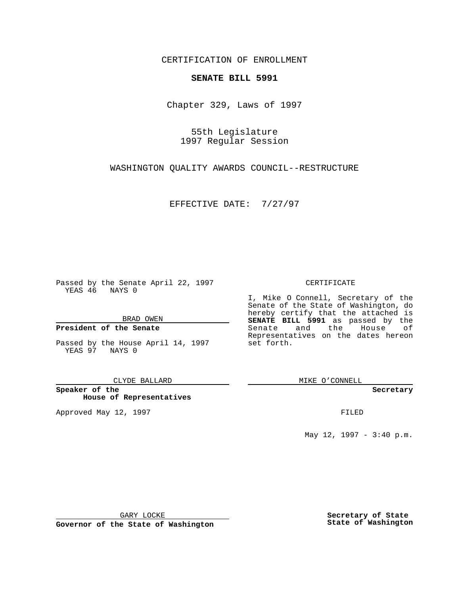CERTIFICATION OF ENROLLMENT

# **SENATE BILL 5991**

Chapter 329, Laws of 1997

55th Legislature 1997 Regular Session

WASHINGTON QUALITY AWARDS COUNCIL--RESTRUCTURE

EFFECTIVE DATE: 7/27/97

Passed by the Senate April 22, 1997 YEAS 46 NAYS 0

BRAD OWEN

### **President of the Senate**

Passed by the House April 14, 1997 YEAS 97 NAYS 0

CLYDE BALLARD

**Speaker of the House of Representatives**

Approved May 12, 1997 **FILED** 

### CERTIFICATE

I, Mike O Connell, Secretary of the Senate of the State of Washington, do hereby certify that the attached is **SENATE BILL 5991** as passed by the Senate and the House of Representatives on the dates hereon set forth.

MIKE O'CONNELL

#### **Secretary**

May 12, 1997 - 3:40 p.m.

GARY LOCKE

**Governor of the State of Washington**

**Secretary of State State of Washington**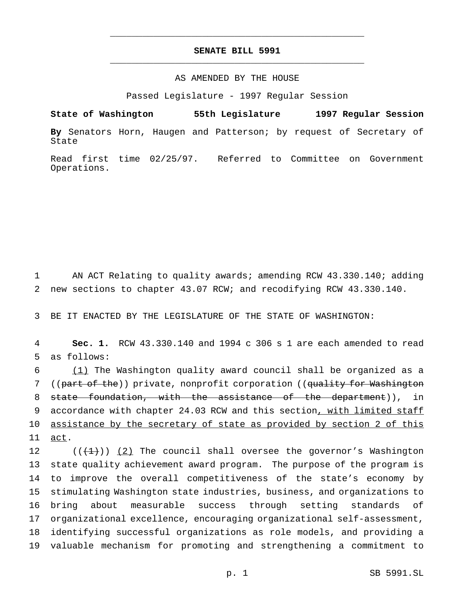# **SENATE BILL 5991** \_\_\_\_\_\_\_\_\_\_\_\_\_\_\_\_\_\_\_\_\_\_\_\_\_\_\_\_\_\_\_\_\_\_\_\_\_\_\_\_\_\_\_\_\_\_\_

\_\_\_\_\_\_\_\_\_\_\_\_\_\_\_\_\_\_\_\_\_\_\_\_\_\_\_\_\_\_\_\_\_\_\_\_\_\_\_\_\_\_\_\_\_\_\_

## AS AMENDED BY THE HOUSE

Passed Legislature - 1997 Regular Session

**State of Washington 55th Legislature 1997 Regular Session By** Senators Horn, Haugen and Patterson; by request of Secretary of State

Read first time 02/25/97. Referred to Committee on Government Operations.

1 AN ACT Relating to quality awards; amending RCW 43.330.140; adding 2 new sections to chapter 43.07 RCW; and recodifying RCW 43.330.140.

3 BE IT ENACTED BY THE LEGISLATURE OF THE STATE OF WASHINGTON:

4 **Sec. 1.** RCW 43.330.140 and 1994 c 306 s 1 are each amended to read 5 as follows:

6 (1) The Washington quality award council shall be organized as a 7 ((part of the)) private, nonprofit corporation ((quality for Washington 8 state foundation, with the assistance of the department)), in 9 accordance with chapter 24.03 RCW and this section, with limited staff 10 assistance by the secretary of state as provided by section 2 of this 11 act.

 $((+1))$   $(2)$  The council shall oversee the governor's Washington state quality achievement award program. The purpose of the program is to improve the overall competitiveness of the state's economy by stimulating Washington state industries, business, and organizations to bring about measurable success through setting standards of organizational excellence, encouraging organizational self-assessment, identifying successful organizations as role models, and providing a valuable mechanism for promoting and strengthening a commitment to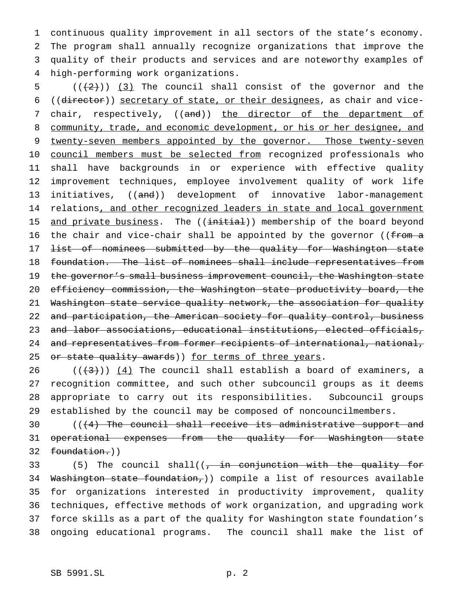continuous quality improvement in all sectors of the state's economy. The program shall annually recognize organizations that improve the quality of their products and services and are noteworthy examples of high-performing work organizations.

5  $((+2+))$  (3) The council shall consist of the governor and the 6 ((director)) secretary of state, or their designees, as chair and vice-7 chair, respectively, ((and)) the director of the department of 8 community, trade, and economic development, or his or her designee, and 9 twenty-seven members appointed by the governor. Those twenty-seven 10 council members must be selected from recognized professionals who 11 shall have backgrounds in or experience with effective quality 12 improvement techniques, employee involvement quality of work life 13 initiatives, ((and)) development of innovative labor-management 14 relations, and other recognized leaders in state and local government 15 and private business. The ((initial)) membership of the board beyond 16 the chair and vice-chair shall be appointed by the governor (( $f$ rom a 17 <del>list of nominees submitted by the quality for Washington state</del> 18 foundation. The list of nominees shall include representatives from 19 the governor's small business improvement council, the Washington state 20 efficiency commission, the Washington state productivity board, the 21 Washington state service quality network, the association for quality 22 and participation, the American society for quality control, business 23 and labor associations, educational institutions, elected officials, 24 and representatives from former recipients of international, national, 25 or state quality awards)) for terms of three years.

26 ( $(\frac{4}{3})$ )  $(4)$  The council shall establish a board of examiners, a recognition committee, and such other subcouncil groups as it deems appropriate to carry out its responsibilities. Subcouncil groups established by the council may be composed of noncouncilmembers.

30 (((4) The council shall receive its administrative support and 31 operational expenses from the quality for Washington state 32 foundation.))

33 (5) The council shall( $(-\text{in} \text{conjunction with the quality for})$  Washington state foundation,)) compile a list of resources available for organizations interested in productivity improvement, quality techniques, effective methods of work organization, and upgrading work force skills as a part of the quality for Washington state foundation's ongoing educational programs. The council shall make the list of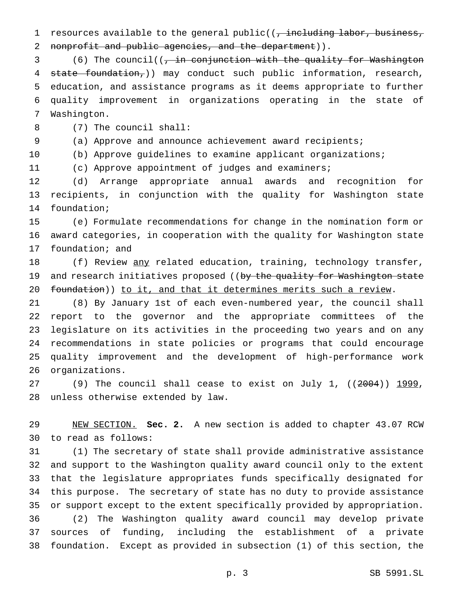1 resources available to the general public( $\frac{1}{t}$  including labor, business, 2 nonprofit and public agencies, and the department)).

3 (6) The council( $\frac{1}{r}$  in conjunction with the quality for Washington state foundation,)) may conduct such public information, research, education, and assistance programs as it deems appropriate to further quality improvement in organizations operating in the state of Washington.

(7) The council shall:

(a) Approve and announce achievement award recipients;

(b) Approve guidelines to examine applicant organizations;

(c) Approve appointment of judges and examiners;

 (d) Arrange appropriate annual awards and recognition for recipients, in conjunction with the quality for Washington state foundation;

 (e) Formulate recommendations for change in the nomination form or award categories, in cooperation with the quality for Washington state foundation; and

18 (f) Review any related education, training, technology transfer, 19 and research initiatives proposed ((by the quality for Washington state 20 foundation)) to it, and that it determines merits such a review.

 (8) By January 1st of each even-numbered year, the council shall report to the governor and the appropriate committees of the legislature on its activities in the proceeding two years and on any recommendations in state policies or programs that could encourage quality improvement and the development of high-performance work organizations.

27 (9) The council shall cease to exist on July 1,  $((2004))$  1999, unless otherwise extended by law.

 NEW SECTION. **Sec. 2.** A new section is added to chapter 43.07 RCW to read as follows:

 (1) The secretary of state shall provide administrative assistance and support to the Washington quality award council only to the extent that the legislature appropriates funds specifically designated for this purpose. The secretary of state has no duty to provide assistance or support except to the extent specifically provided by appropriation. (2) The Washington quality award council may develop private sources of funding, including the establishment of a private foundation. Except as provided in subsection (1) of this section, the